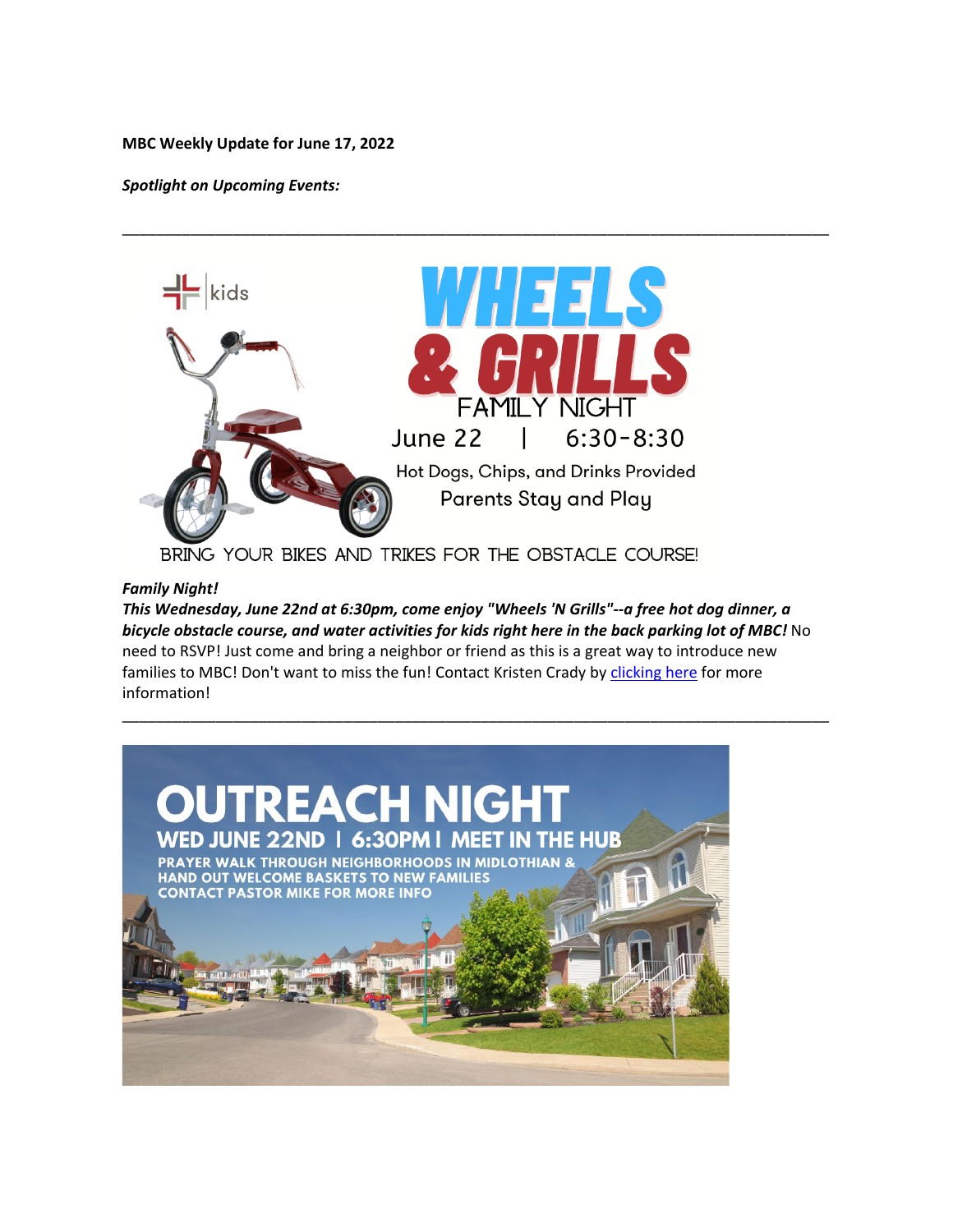#### **MBC Weekly Update for June 17, 2022**

*Spotlight on Upcoming Events:*



\_\_\_\_\_\_\_\_\_\_\_\_\_\_\_\_\_\_\_\_\_\_\_\_\_\_\_\_\_\_\_\_\_\_\_\_\_\_\_\_\_\_\_\_\_\_\_\_\_\_\_\_\_\_\_\_\_\_\_\_\_\_\_\_\_\_\_\_\_\_\_\_\_\_\_\_\_\_\_\_\_\_\_

BRING YOUR BIKES AND TRIKES FOR THE OBSTACLE COURSE!

### *Family Night!*

*This Wednesday, June 22nd at 6:30pm, come enjoy "Wheels 'N Grills"--a free hot dog dinner, a bicycle obstacle course, and water activities for kids right here in the back parking lot of MBC!* No need to RSVP! Just come and bring a neighbor or friend as this is a great way to introduce new families to MBC! Don't want to miss the fun! Contact Kristen Crady by [clicking here](mailto:kristen.crady@midlothianbible.org?subject=Send%20me%20info%20on%20Family%20Night!) for more information!

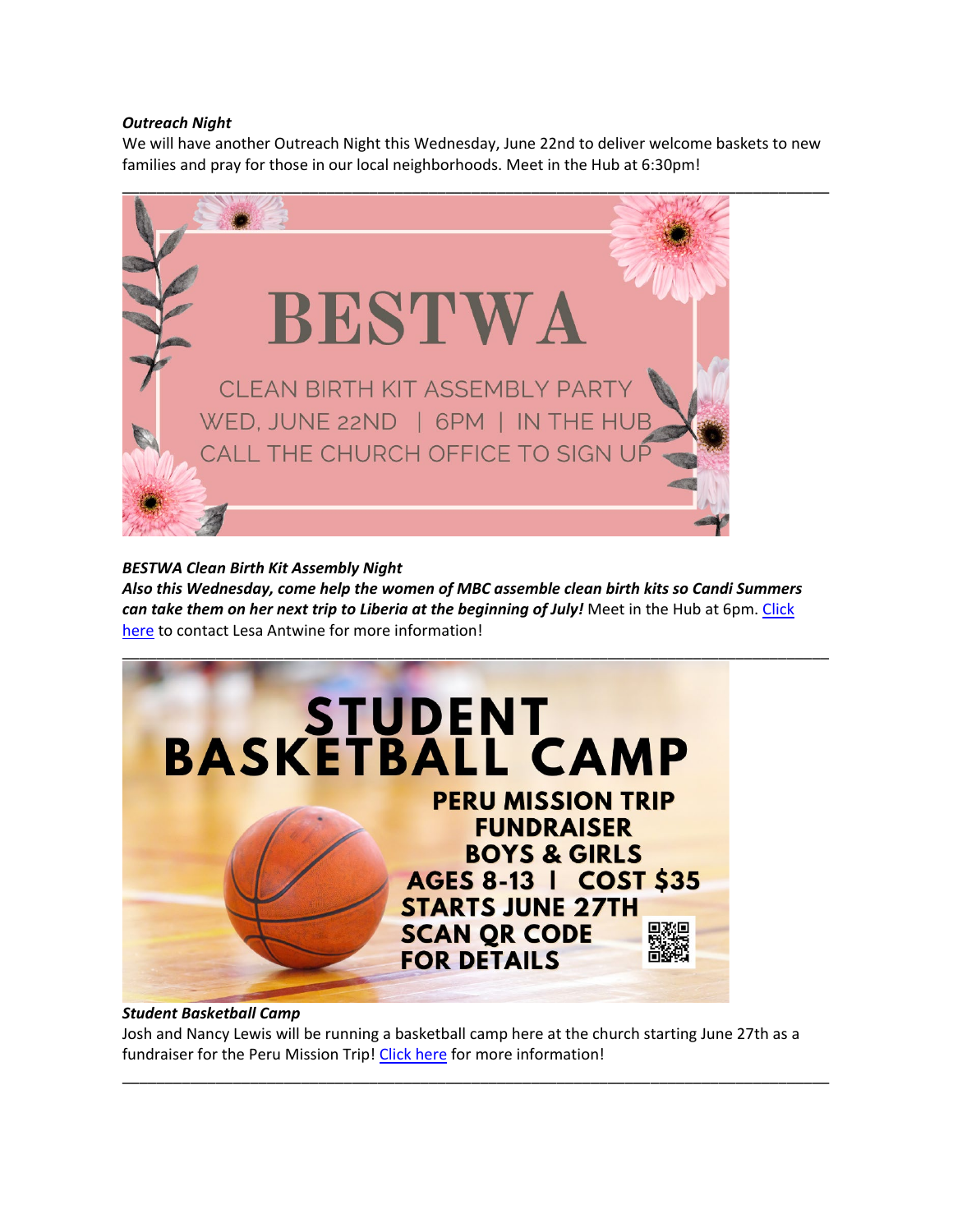### *Outreach Night*

We will have another Outreach Night this Wednesday, June 22nd to deliver welcome baskets to new families and pray for those in our local neighborhoods. Meet in the Hub at 6:30pm!



*BESTWA Clean Birth Kit Assembly Night Also this Wednesday, come help the women of MBC assemble clean birth kits so Candi Summers can take them on her next trip to Liberia at the beginning of July!* Meet in the Hub at 6pm. [Click](mailto:lesa.antwine@gmail.com?subject=I)  [here](mailto:lesa.antwine@gmail.com?subject=I) to contact Lesa Antwine for more information!



# *Student Basketball Camp*

Josh and Nancy Lewis will be running a basketball camp here at the church starting June 27th as a fundraiser for the Peru Mission Trip! [Click here](https://docs.google.com/document/d/1bGGclKbrZFvBftcY7h_V8K2gSzt0en36R9fJW6wJTFs/edit?usp=sharing) for more information!

\_\_\_\_\_\_\_\_\_\_\_\_\_\_\_\_\_\_\_\_\_\_\_\_\_\_\_\_\_\_\_\_\_\_\_\_\_\_\_\_\_\_\_\_\_\_\_\_\_\_\_\_\_\_\_\_\_\_\_\_\_\_\_\_\_\_\_\_\_\_\_\_\_\_\_\_\_\_\_\_\_\_\_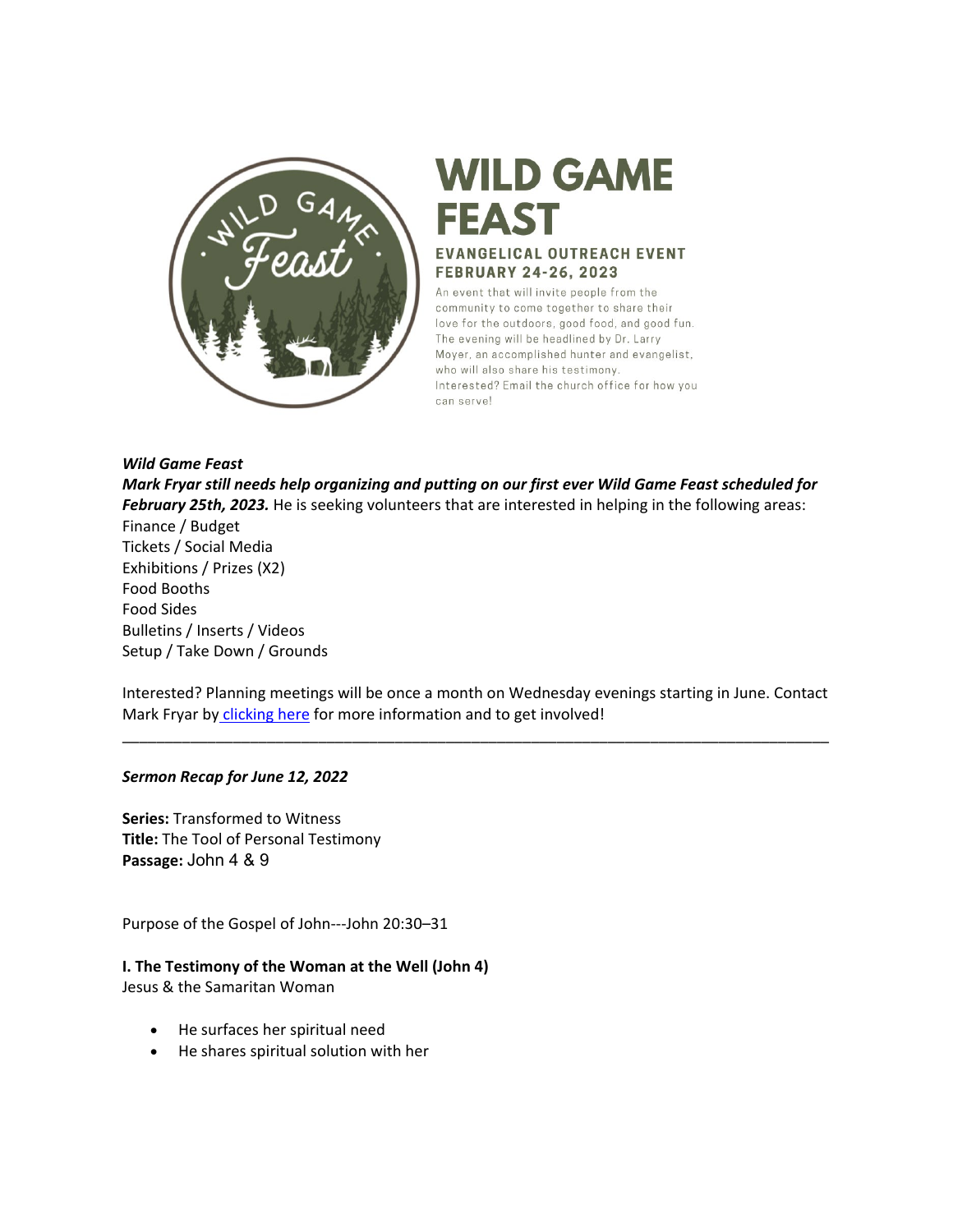

# **WILD GAME FEAST EVANGELICAL OUTREACH EVENT FEBRUARY 24-26, 2023**

An event that will invite people from the community to come together to share their love for the outdoors, good food, and good fun. The evening will be headlined by Dr. Larry Moyer, an accomplished hunter and evangelist, who will also share his testimony. Interested? Email the church office for how you can servel

*Wild Game Feast*

*Mark Fryar still needs help organizing and putting on our first ever Wild Game Feast scheduled for February 25th, 2023.* He is seeking volunteers that are interested in helping in the following areas: Finance / Budget Tickets / Social Media Exhibitions / Prizes (X2) Food Booths Food Sides Bulletins / Inserts / Videos Setup / Take Down / Grounds

Interested? Planning meetings will be once a month on Wednesday evenings starting in June. Contact Mark Fryar by [clicking here](mailto:jmfarchitect@sbcglobal.net) for more information and to get involved!

\_\_\_\_\_\_\_\_\_\_\_\_\_\_\_\_\_\_\_\_\_\_\_\_\_\_\_\_\_\_\_\_\_\_\_\_\_\_\_\_\_\_\_\_\_\_\_\_\_\_\_\_\_\_\_\_\_\_\_\_\_\_\_\_\_\_\_\_\_\_\_\_\_\_\_\_\_\_\_\_\_\_\_

# *Sermon Recap for June 12, 2022*

**Series:** Transformed to Witness **Title:** The Tool of Personal Testimony **Passage:** John 4 & 9

Purpose of the Gospel of John---John 20:30–31

**I. The Testimony of the Woman at the Well (John 4)** Jesus & the Samaritan Woman

- He surfaces her spiritual need
- He shares spiritual solution with her